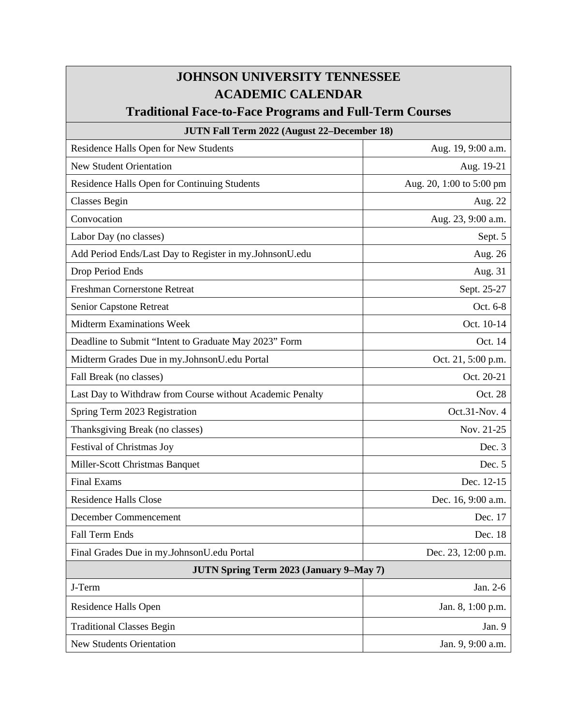## **JOHNSON UNIVERSITY TENNESSEE ACADEMIC CALENDAR**

## **Traditional Face-to-Face Programs and Full-Term Courses**

## **JUTN Fall Term 2022 (August 22–December 18)**

| Residence Halls Open for New Students                     | Aug. 19, 9:00 a.m.       |
|-----------------------------------------------------------|--------------------------|
| <b>New Student Orientation</b>                            | Aug. 19-21               |
| Residence Halls Open for Continuing Students              | Aug. 20, 1:00 to 5:00 pm |
| <b>Classes Begin</b>                                      | Aug. 22                  |
| Convocation                                               | Aug. 23, 9:00 a.m.       |
| Labor Day (no classes)                                    | Sept. 5                  |
| Add Period Ends/Last Day to Register in my.JohnsonU.edu   | Aug. 26                  |
| Drop Period Ends                                          | Aug. 31                  |
| <b>Freshman Cornerstone Retreat</b>                       | Sept. 25-27              |
| Senior Capstone Retreat                                   | Oct. 6-8                 |
| <b>Midterm Examinations Week</b>                          | Oct. 10-14               |
| Deadline to Submit "Intent to Graduate May 2023" Form     | Oct. 14                  |
| Midterm Grades Due in my.JohnsonU.edu Portal              | Oct. 21, 5:00 p.m.       |
| Fall Break (no classes)                                   | Oct. 20-21               |
| Last Day to Withdraw from Course without Academic Penalty | Oct. 28                  |
| Spring Term 2023 Registration                             | Oct.31-Nov. 4            |
| Thanksgiving Break (no classes)                           | Nov. 21-25               |
| Festival of Christmas Joy                                 | Dec. 3                   |
| Miller-Scott Christmas Banquet                            | Dec. 5                   |
| <b>Final Exams</b>                                        | Dec. 12-15               |
| <b>Residence Halls Close</b>                              | Dec. 16, 9:00 a.m.       |
| December Commencement                                     | Dec. 17                  |
| <b>Fall Term Ends</b>                                     | Dec. 18                  |
| Final Grades Due in my.JohnsonU.edu Portal                | Dec. 23, 12:00 p.m.      |
| <b>JUTN Spring Term 2023 (January 9-May 7)</b>            |                          |
| J-Term                                                    | Jan. 2-6                 |
| Residence Halls Open                                      | Jan. 8, 1:00 p.m.        |
| <b>Traditional Classes Begin</b>                          | Jan. 9                   |
| <b>New Students Orientation</b>                           | Jan. 9, 9:00 a.m.        |